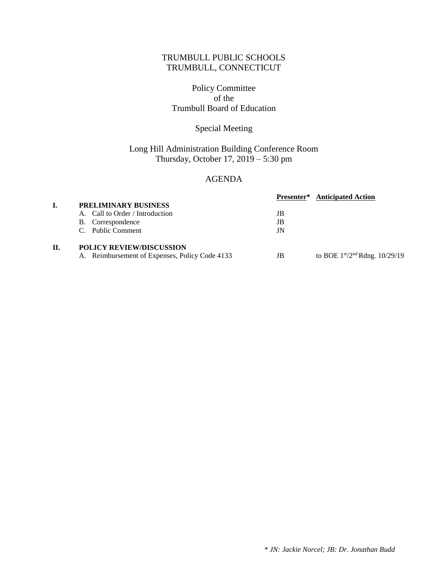### TRUMBULL PUBLIC SCHOOLS TRUMBULL, CONNECTICUT

#### Policy Committee of the Trumbull Board of Education

### Special Meeting

## Long Hill Administration Building Conference Room Thursday, October 17, 2019 – 5:30 pm

#### AGENDA

|                                                |    | <b>Presenter*</b> Anticipated Action |
|------------------------------------------------|----|--------------------------------------|
| PRELIMINARY BUSINESS                           |    |                                      |
| A. Call to Order / Introduction                | JB |                                      |
| B. Correspondence                              | JB |                                      |
| C. Public Comment                              | JN |                                      |
| <b>POLICY REVIEW/DISCUSSION</b>                |    |                                      |
| A. Reimbursement of Expenses, Policy Code 4133 | JB | to BOE $1st/2nd$ Rdng. 10/29/19      |
|                                                |    |                                      |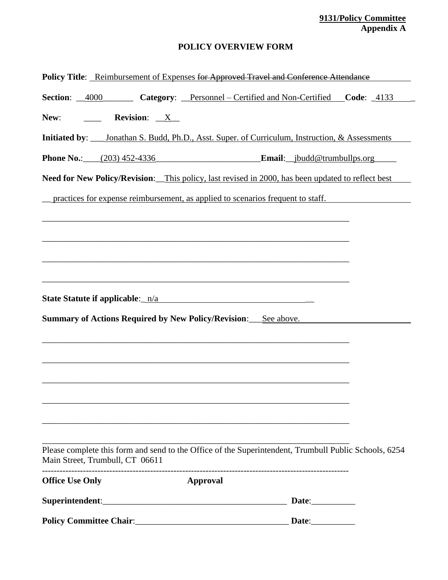#### **9131/Policy Committee Appendix A**

## **POLICY OVERVIEW FORM**

| Policy Title: Reimbursement of Expenses for Approved Travel and Conference Attendance                                                    |          |  |
|------------------------------------------------------------------------------------------------------------------------------------------|----------|--|
| Section: 4000 Category: Personnel - Certified and Non-Certified Code: 4133                                                               |          |  |
| New:<br><b>Example 3</b> Revision: <u>X</u>                                                                                              |          |  |
| Initiated by: ____ Jonathan S. Budd, Ph.D., Asst. Super. of Curriculum, Instruction, & Assessments                                       |          |  |
| Phone No.: (203) 452-4336 Email: jbudd@trumbullps.org                                                                                    |          |  |
| Need for New Policy/Revision: This policy, last revised in 2000, has been updated to reflect best                                        |          |  |
| practices for expense reimbursement, as applied to scenarios frequent to staff.                                                          |          |  |
|                                                                                                                                          |          |  |
|                                                                                                                                          |          |  |
|                                                                                                                                          |          |  |
|                                                                                                                                          |          |  |
|                                                                                                                                          |          |  |
| <b>Summary of Actions Required by New Policy/Revision:</b> See above.                                                                    |          |  |
|                                                                                                                                          |          |  |
|                                                                                                                                          |          |  |
|                                                                                                                                          |          |  |
|                                                                                                                                          |          |  |
|                                                                                                                                          |          |  |
|                                                                                                                                          |          |  |
| Please complete this form and send to the Office of the Superintendent, Trumbull Public Schools, 6254<br>Main Street, Trumbull, CT 06611 |          |  |
| <b>Office Use Only</b>                                                                                                                   | Approval |  |
| Superintendent: Date: Date:                                                                                                              |          |  |
|                                                                                                                                          |          |  |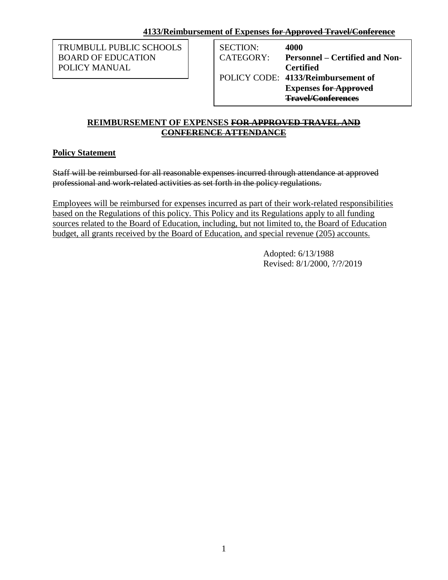TRUMBULL PUBLIC SCHOOLS BOARD OF EDUCATION POLICY MANUAL

SECTION: **4000** CATEGORY: **Personnel – Certified and Non-Certified** POLICY CODE: **4133/Reimbursement of Expenses for Approved Travel/Conferences**

### **REIMBURSEMENT OF EXPENSES FOR APPROVED TRAVEL AND CONFERENCE ATTENDANCE**

# **Policy Statement**

Staff will be reimbursed for all reasonable expenses incurred through attendance at approved professional and work-related activities as set forth in the policy regulations.

Employees will be reimbursed for expenses incurred as part of their work-related responsibilities based on the Regulations of this policy. This Policy and its Regulations apply to all funding sources related to the Board of Education, including, but not limited to, the Board of Education budget, all grants received by the Board of Education, and special revenue (205) accounts.

> Adopted: 6/13/1988 Revised: 8/1/2000, ?/?/2019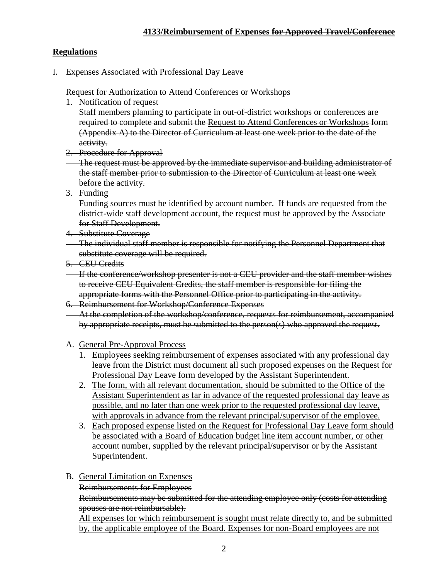# **Regulations**

I. Expenses Associated with Professional Day Leave

Request for Authorization to Attend Conferences or Workshops

- 1. Notification of request
- Staff members planning to participate in out-of-district workshops or conferences are required to complete and submit the Request to Attend Conferences or Workshops form (Appendix A) to the Director of Curriculum at least one week prior to the date of the activity.
- 2. Procedure for Approval
- The request must be approved by the immediate supervisor and building administrator of the staff member prior to submission to the Director of Curriculum at least one week before the activity.
- 3. Funding
- Funding sources must be identified by account number. If funds are requested from the district-wide staff development account, the request must be approved by the Associate for Staff Development.
- 4. Substitute Coverage
- The individual staff member is responsible for notifying the Personnel Department that substitute coverage will be required.
- 5. CEU Credits
- If the conference/workshop presenter is not a CEU provider and the staff member wishes to receive CEU Equivalent Credits, the staff member is responsible for filing the appropriate forms with the Personnel Office prior to participating in the activity.
- 6. Reimbursement for Workshop/Conference Expenses
- At the completion of the workshop/conference, requests for reimbursement, accompanied by appropriate receipts, must be submitted to the person(s) who approved the request.
- A. General Pre-Approval Process
	- 1. Employees seeking reimbursement of expenses associated with any professional day leave from the District must document all such proposed expenses on the Request for Professional Day Leave form developed by the Assistant Superintendent.
	- 2. The form, with all relevant documentation, should be submitted to the Office of the Assistant Superintendent as far in advance of the requested professional day leave as possible, and no later than one week prior to the requested professional day leave, with approvals in advance from the relevant principal/supervisor of the employee.
	- 3. Each proposed expense listed on the Request for Professional Day Leave form should be associated with a Board of Education budget line item account number, or other account number, supplied by the relevant principal/supervisor or by the Assistant Superintendent.
- B. General Limitation on Expenses
	- Reimbursements for Employees

Reimbursements may be submitted for the attending employee only (costs for attending spouses are not reimbursable).

All expenses for which reimbursement is sought must relate directly to, and be submitted by, the applicable employee of the Board. Expenses for non-Board employees are not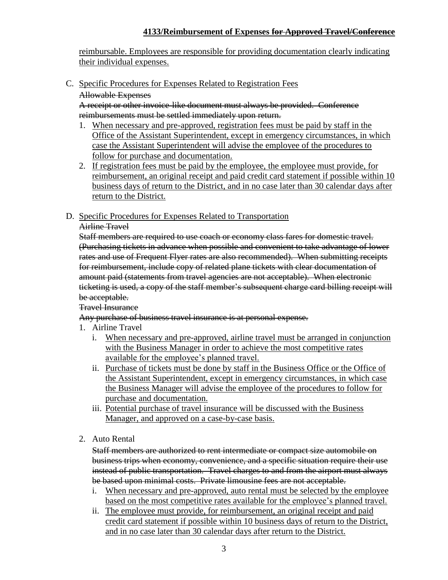reimbursable. Employees are responsible for providing documentation clearly indicating their individual expenses.

- C. Specific Procedures for Expenses Related to Registration Fees
	- Allowable Expenses

A receipt or other invoice-like document must always be provided. Conference reimbursements must be settled immediately upon return.

- 1. When necessary and pre-approved, registration fees must be paid by staff in the Office of the Assistant Superintendent, except in emergency circumstances, in which case the Assistant Superintendent will advise the employee of the procedures to follow for purchase and documentation.
- 2. If registration fees must be paid by the employee, the employee must provide, for reimbursement, an original receipt and paid credit card statement if possible within 10 business days of return to the District, and in no case later than 30 calendar days after return to the District.
- D. Specific Procedures for Expenses Related to Transportation

### Airline Travel

Staff members are required to use coach or economy class fares for domestic travel. (Purchasing tickets in advance when possible and convenient to take advantage of lower rates and use of Frequent Flyer rates are also recommended). When submitting receipts for reimbursement, include copy of related plane tickets with clear documentation of amount paid (statements from travel agencies are not acceptable). When electronic ticketing is used, a copy of the staff member's subsequent charge card billing receipt will be acceptable.

## Travel Insurance

Any purchase of business travel insurance is at personal expense.

- 1. Airline Travel
	- i. When necessary and pre-approved, airline travel must be arranged in conjunction with the Business Manager in order to achieve the most competitive rates available for the employee's planned travel.
	- ii. Purchase of tickets must be done by staff in the Business Office or the Office of the Assistant Superintendent, except in emergency circumstances, in which case the Business Manager will advise the employee of the procedures to follow for purchase and documentation.
	- iii. Potential purchase of travel insurance will be discussed with the Business Manager, and approved on a case-by-case basis.
- 2. Auto Rental

Staff members are authorized to rent intermediate or compact size automobile on business trips when economy, convenience, and a specific situation require their use instead of public transportation. Travel charges to and from the airport must always be based upon minimal costs. Private limousine fees are not acceptable.

- i. When necessary and pre-approved, auto rental must be selected by the employee based on the most competitive rates available for the employee's planned travel.
- ii. The employee must provide, for reimbursement, an original receipt and paid credit card statement if possible within 10 business days of return to the District, and in no case later than 30 calendar days after return to the District.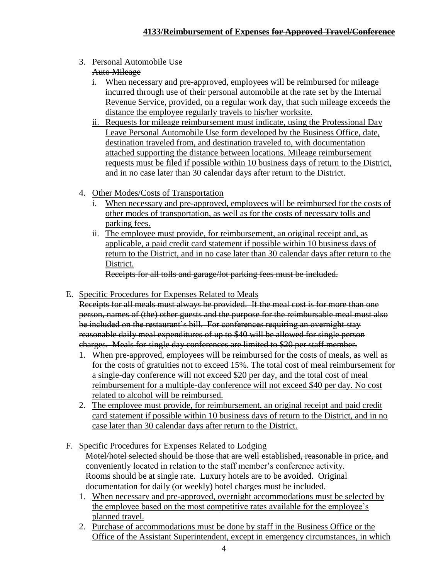3. Personal Automobile Use

# Auto Mileage

- i. When necessary and pre-approved, employees will be reimbursed for mileage incurred through use of their personal automobile at the rate set by the Internal Revenue Service, provided, on a regular work day, that such mileage exceeds the distance the employee regularly travels to his/her worksite.
- ii. Requests for mileage reimbursement must indicate, using the Professional Day Leave Personal Automobile Use form developed by the Business Office, date, destination traveled from, and destination traveled to, with documentation attached supporting the distance between locations. Mileage reimbursement requests must be filed if possible within 10 business days of return to the District, and in no case later than 30 calendar days after return to the District.
- 4. Other Modes/Costs of Transportation
	- i. When necessary and pre-approved, employees will be reimbursed for the costs of other modes of transportation, as well as for the costs of necessary tolls and parking fees.
	- ii. The employee must provide, for reimbursement, an original receipt and, as applicable, a paid credit card statement if possible within 10 business days of return to the District, and in no case later than 30 calendar days after return to the District.

Receipts for all tolls and garage/lot parking fees must be included.

E. Specific Procedures for Expenses Related to Meals

Receipts for all meals must always be provided. If the meal cost is for more than one person, names of (the) other guests and the purpose for the reimbursable meal must also be included on the restaurant's bill. For conferences requiring an overnight stay reasonable daily meal expenditures of up to \$40 will be allowed for single person charges. Meals for single day conferences are limited to \$20 per staff member.

- 1. When pre-approved, employees will be reimbursed for the costs of meals, as well as for the costs of gratuities not to exceed 15%. The total cost of meal reimbursement for a single-day conference will not exceed \$20 per day, and the total cost of meal reimbursement for a multiple-day conference will not exceed \$40 per day. No cost related to alcohol will be reimbursed.
- 2. The employee must provide, for reimbursement, an original receipt and paid credit card statement if possible within 10 business days of return to the District, and in no case later than 30 calendar days after return to the District.
- F. Specific Procedures for Expenses Related to Lodging Motel/hotel selected should be those that are well established, reasonable in price, and conveniently located in relation to the staff member's conference activity. Rooms should be at single rate. Luxury hotels are to be avoided. Original documentation for daily (or weekly) hotel charges must be included.
	- 1. When necessary and pre-approved, overnight accommodations must be selected by the employee based on the most competitive rates available for the employee's planned travel.
	- 2. Purchase of accommodations must be done by staff in the Business Office or the Office of the Assistant Superintendent, except in emergency circumstances, in which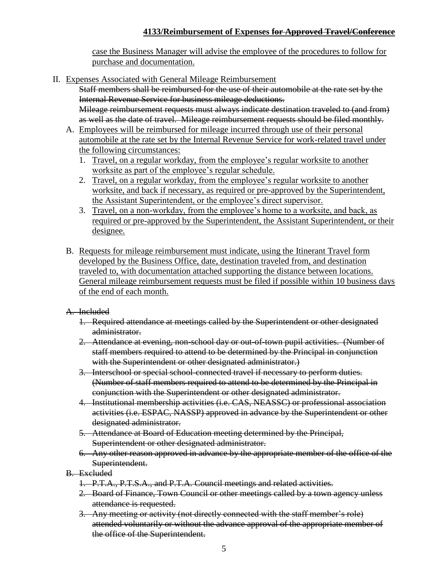case the Business Manager will advise the employee of the procedures to follow for purchase and documentation.

II. Expenses Associated with General Mileage Reimbursement

Staff members shall be reimbursed for the use of their automobile at the rate set by the Internal Revenue Service for business mileage deductions.

Mileage reimbursement requests must always indicate destination traveled to (and from) as well as the date of travel. Mileage reimbursement requests should be filed monthly.

- A. Employees will be reimbursed for mileage incurred through use of their personal automobile at the rate set by the Internal Revenue Service for work-related travel under the following circumstances:
	- 1. Travel, on a regular workday, from the employee's regular worksite to another worksite as part of the employee's regular schedule.
	- 2. Travel, on a regular workday, from the employee's regular worksite to another worksite, and back if necessary, as required or pre-approved by the Superintendent, the Assistant Superintendent, or the employee's direct supervisor.
	- 3. Travel, on a non-workday, from the employee's home to a worksite, and back, as required or pre-approved by the Superintendent, the Assistant Superintendent, or their designee.
- B. Requests for mileage reimbursement must indicate, using the Itinerant Travel form developed by the Business Office, date, destination traveled from, and destination traveled to, with documentation attached supporting the distance between locations. General mileage reimbursement requests must be filed if possible within 10 business days of the end of each month.

A. Included

- 1. Required attendance at meetings called by the Superintendent or other designated administrator.
- 2. Attendance at evening, non-school day or out-of-town pupil activities. (Number of staff members required to attend to be determined by the Principal in conjunction with the Superintendent or other designated administrator.)
- 3. Interschool or special school-connected travel if necessary to perform duties. (Number of staff members required to attend to be determined by the Principal in conjunction with the Superintendent or other designated administrator.
- 4. Institutional membership activities (i.e. CAS, NEASSC) or professional association activities (i.e. ESPAC, NASSP) approved in advance by the Superintendent or other designated administrator.
- 5. Attendance at Board of Education meeting determined by the Principal, Superintendent or other designated administrator.
- 6. Any other reason approved in advance by the appropriate member of the office of the Superintendent.
- B. Excluded
	- 1. P.T.A., P.T.S.A., and P.T.A. Council meetings and related activities.
	- 2. Board of Finance, Town Council or other meetings called by a town agency unless attendance is requested.
	- 3. Any meeting or activity (not directly connected with the staff member's role) attended voluntarily or without the advance approval of the appropriate member of the office of the Superintendent.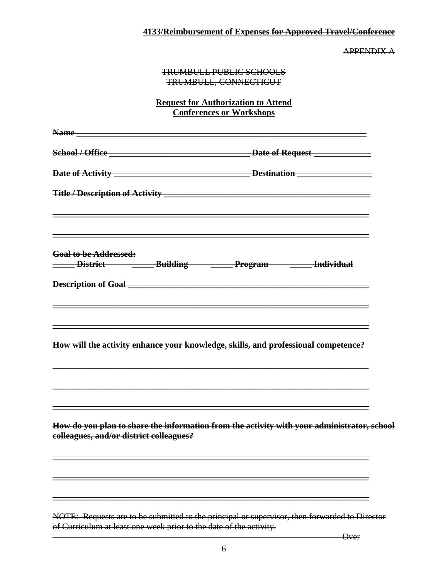APPENDIX A

#### TRUMBULL PUBLIC SCHOOLS TRUMBULL, CONNECTICUT

### **Request for Authorization to Attend Conferences or Workshops**

| Name and the state of the state of the state of the state of the state of the state of the state of the state of the state of the state of the state of the state of the state of the state of the state of the state of the s |                                                                                                                                                                                                  |
|--------------------------------------------------------------------------------------------------------------------------------------------------------------------------------------------------------------------------------|--------------------------------------------------------------------------------------------------------------------------------------------------------------------------------------------------|
|                                                                                                                                                                                                                                |                                                                                                                                                                                                  |
|                                                                                                                                                                                                                                |                                                                                                                                                                                                  |
|                                                                                                                                                                                                                                |                                                                                                                                                                                                  |
| <b>Goal to be Addressed:</b>                                                                                                                                                                                                   | <u> 1989 - Johann Stoff, deutscher Stoffen und der Stoffen und der Stoffen und der Stoffen und der Stoffen und d</u><br>____ District ___________ Building _________ Program ________ Individual |
|                                                                                                                                                                                                                                | <u> 1989 - Johann Stoff, deutscher Stoffen und der Stoffen und der Stoffen und der Stoffen und der Stoffen und der</u>                                                                           |
|                                                                                                                                                                                                                                | How will the activity enhance your knowledge, skills, and professional competence?                                                                                                               |
| colleagues, and/or district colleagues?                                                                                                                                                                                        | How do you plan to share the information from the activity with your administrator, school                                                                                                       |
|                                                                                                                                                                                                                                |                                                                                                                                                                                                  |
|                                                                                                                                                                                                                                | NOTE: Requests are to be submitted to the principal or supervisor, then forwarded to Director                                                                                                    |

of Curriculum at least one week prior to the date of the activity.

**Over**